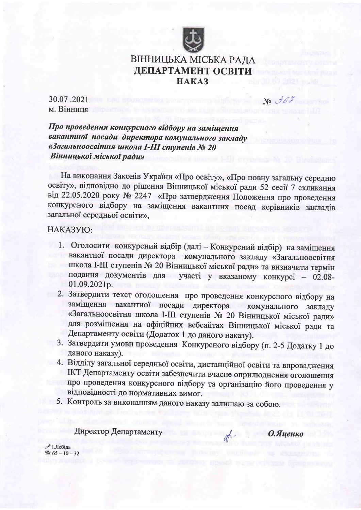

## ВІННИЦЬКА МІСЬКА РАДА ДЕПАРТАМЕНТ ОСВІТИ **HAKA3**

30.07.2021 м. Вінниця

Про проведення конкурсного відбору на заміщення вакантної посади директора комунального закладу «Загальноосвітня школа I-III ступенів № 20 Вінницької міської ради»

На виконання Законів України «Про освіту», «Про повну загальну середню освіту», відповідно до рішення Вінницької міської ради 52 сесії 7 скликання від 22.05.2020 року № 2247 «Про затвердження Положення про проведення конкурсного відбору на заміщення вакантних посад керівників закладів загальної середньої освіти».

## НАКАЗУЮ:

- 1. Оголосити конкурсний відбір (далі Конкурсний відбір) на заміщення вакантної посади директора комунального закладу «Загальноосвітня школа I-III ступенів № 20 Вінницької міської ради» та визначити термін подання документів для участі у вказаному конкурсі - 02.08-01.09.2021p.
- 2. Затвердити текст оголошення про проведення конкурсного відбору на заміщення вакантної посади директора комунального закладу «Загальноосвітня школа І-ІІІ ступенів № 20 Вінницької міської ради» для розміщення на офіційних вебсайтах Вінницької міської ради та Департаменту освіти (Додаток 1 до даного наказу).
- 3. Затвердити умови проведення Конкурсного відбору (п. 2-5 Додатку 1 до даного наказу).
- 4. Відділу загальної середньої освіти, дистанційної освіти та впровадження IKT Департаменту освіти забезпечити вчасне оприлюднення оголошення про проведення конкурсного відбору та організацію його проведення у відповідності до нормативних вимог.
- 5. Контроль за виконанням даного наказу залишаю за собою.

Директор Департаменту

О.Яценко

 $\mathcal{N}^{\circ}$  367

 $\mathscr{D}$  І.Лебідь  $\mathbb{S}$  65 - 10 - 32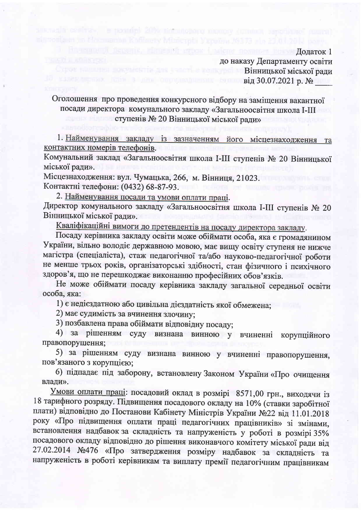Bhasane of persons, rimeant aspen i micro nom-Додаток 1 до наказу Департаменту освіти Строе в политика по собора в политика и Вінницької міської ради **EXAMPLE 2018 EXAMPLE 2018 CONTROLLEDGE CONTROL BI** BOOT 2021 p. No. 1999

Оголошення про проведення конкурсного відбору на заміщення вакантної посади директора комунального закладу «Загальноосвітня школа I-III ступенів № 20 Вінницької міської ради»

un ada estivas. Le positiei 20% nomenoparu numury (unima, raponism

1. Найменування закладу із зазначенням його місцезнаходження та контактних номерів телефонів.

Комунальний заклад «Загальноосвітня школа I-III ступенів № 20 Вінницької міської ради».

Місцезнаходження: вул. Чумацька, 266, м. Вінниця, 21023. Контактні телефони: (0432) 68-87-93.

2. Найменування посади та умови оплати праці.

Директор комунального закладу «Загальноосвітня школа І-III ступенів № 20 Вінницької міської ради».

Кваліфікаційні вимоги до претендентів на посаду директора закладу.

Посаду керівника закладу освіти може обіймати особа, яка є громадянином України, вільно володіє державною мовою, має вищу освіту ступеня не нижче магістра (спеціаліста), стаж педагогічної та/або науково-педагогічної роботи не менше трьох років, організаторські здібності, стан фізичного і психічного здоров'я, що не перешкоджає виконанню професійних обов'язків.

Не може обіймати посаду керівника закладу загальної середньої освіти особа, яка:

1) є недієздатною або цивільна дієздатність якої обмежена;

2) має судимість за вчинення злочину;

3) позбавлена права обіймати відповідну посаду;

4) за рішенням суду визнана винною у вчиненні корупційного правопорушення;

5) за рішенням суду визнана винною у вчиненні правопорушення, пов'язаного з корупцією;

6) підпадає під заборону, встановлену Законом України «Про очищення влади».

Умови оплати праці: посадовий оклад в розмірі 8571,00 грн., виходячи із 18 тарифного розряду. Підвищення посадового окладу на 10% (ставки заробітної плати) відповідно до Постанови Кабінету Міністрів України №22 від 11.01.2018 року «Про підвищення оплати праці педагогічних працівників» зі змінами, встановлення надбавок за складність та напруженість у роботі в розмірі 35% посадового окладу відповідно до рішення виконавчого комітету міської ради від 27.02.2014 №476 «Про затвердження розміру надбавок за складність та напруженість в роботі керівникам та виплату премії педагогічним працівникам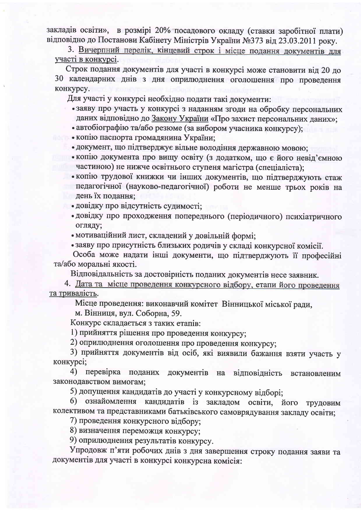закладів освіти», в розмірі 20% посадового окладу (ставки заробітної плати) відповідно до Постанови Кабінету Міністрів України №373 від 23.03.2011 року.

3. Вичерпний перелік, кінцевий строк і місце подання документів для участі в конкурсі.

Строк подання документів для участі в конкурсі може становити від 20 до 30 календарних днів з дня оприлюднення оголошення про проведення конкурсу.

Для участі у конкурсі необхідно подати такі документи:

- заяву про участь у конкурсі з наданням згоди на обробку персональних даних відповідно до Закону України «Про захист персональних даних»;
- автобіографію та/або резюме (за вибором учасника конкурсу);
- копію паспорта громадянина України;
- документ, що підтверджує вільне володіння державною мовою;
- копію документа про вищу освіту (з додатком, що є його невід'ємною частиною) не нижче освітнього ступеня магістра (спеціаліста);
- копію трудової книжки чи інших документів, що підтверджують стаж педагогічної (науково-педагогічної) роботи не менше трьох років на день їх подання;
	- довідку про відсутність судимості;
	- довідку про проходження попереднього (періодичного) психіатричного огляду;
	- мотиваційний лист, складений у довільній формі;
	- заяву про присутність близьких родичів у складі конкурсної комісії.

Особа може надати інші документи, що підтверджують її професійні та/або моральні якості.

Відповідальність за достовірність поданих документів несе заявник.

4. Дата та місце проведення конкурсного відбору, етапи його проведення та тривалість.

Місце проведення: виконавчий комітет Вінницької міської ради,

м. Вінниця, вул. Соборна, 59.

Конкурс складається з таких етапів:

1) прийняття рішення про проведення конкурсу;

2) оприлюднення оголошення про проведення конкурсу;

3) прийняття документів від осіб, які виявили бажання взяти участь у конкурсі;

4) перевірка поданих документів на відповідність встановленим законодавством вимогам;

5) допущення кандидатів до участі у конкурсному відборі;

6) ознайомлення кандидатів із закладом освіти, його трудовим колективом та представниками батьківського самоврядування закладу освіти;

7) проведення конкурсного відбору:

8) визначення переможця конкурсу;

9) оприлюднення результатів конкурсу.

Упродовж п'яти робочих днів з дня завершення строку подання заяви та документів для участі в конкурсі конкурсна комісія: